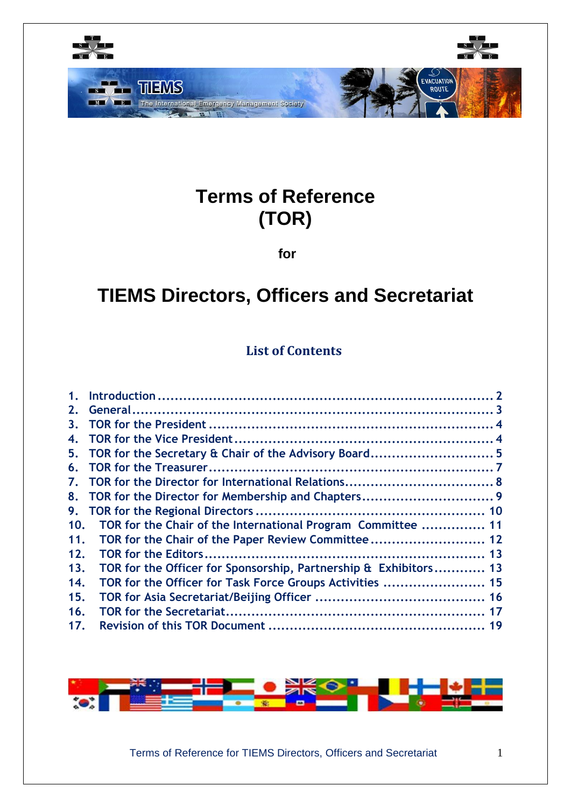

# **Terms of Reference (TOR)**

**for** 

# **TIEMS Directors, Officers and Secretariat**

#### **List of Contents**

| 1.      |                                                                  |  |
|---------|------------------------------------------------------------------|--|
| 2.      |                                                                  |  |
| $3_{-}$ |                                                                  |  |
| 4.      |                                                                  |  |
|         | 5. TOR for the Secretary & Chair of the Advisory Board 5         |  |
|         |                                                                  |  |
|         |                                                                  |  |
|         |                                                                  |  |
| 9.      |                                                                  |  |
| 10.     | TOR for the Chair of the International Program Committee  11     |  |
| 11.     | TOR for the Chair of the Paper Review Committee 12               |  |
| 12.     |                                                                  |  |
| 13.     | TOR for the Officer for Sponsorship, Partnership & Exhibitors 13 |  |
| 14.     | TOR for the Officer for Task Force Groups Activities  15         |  |
| 15.     |                                                                  |  |
| 16.     |                                                                  |  |
| 17.     |                                                                  |  |

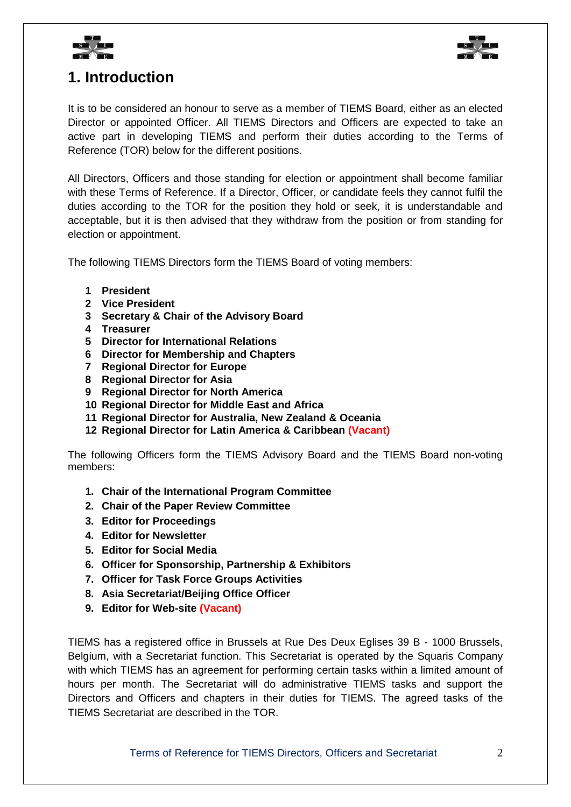



# <span id="page-1-0"></span>**1. Introduction**

It is to be considered an honour to serve as a member of TIEMS Board, either as an elected Director or appointed Officer. All TIEMS Directors and Officers are expected to take an active part in developing TIEMS and perform their duties according to the Terms of Reference (TOR) below for the different positions.

All Directors, Officers and those standing for election or appointment shall become familiar with these Terms of Reference. If a Director, Officer, or candidate feels they cannot fulfil the duties according to the TOR for the position they hold or seek, it is understandable and acceptable, but it is then advised that they withdraw from the position or from standing for election or appointment.

The following TIEMS Directors form the TIEMS Board of voting members:

- **1 President**
- **2 Vice President**
- **3 Secretary & Chair of the Advisory Board**
- **4 Treasurer**
- **5 Director for International Relations**
- **6 Director for Membership and Chapters**
- **7 Regional Director for Europe**
- **8 Regional Director for Asia**
- **9 Regional Director for North America**
- **10 Regional Director for Middle East and Africa**
- **11 Regional Director for Australia, New Zealand & Oceania**
- **12 Regional Director for Latin America & Caribbean (Vacant)**

The following Officers form the TIEMS Advisory Board and the TIEMS Board non-voting members:

- **1. Chair of the International Program Committee**
- **2. Chair of the Paper Review Committee**
- **3. Editor for Proceedings**
- **4. Editor for Newsletter**
- **5. Editor for Social Media**
- **6. Officer for Sponsorship, Partnership & Exhibitors**
- **7. Officer for Task Force Groups Activities**
- **8. Asia Secretariat/Beijing Office Officer**
- **9. Editor for Web-site (Vacant)**

TIEMS has a registered office in Brussels at Rue Des Deux Eglises 39 B - 1000 Brussels, Belgium, with a Secretariat function. This Secretariat is operated by the Squaris Company with which TIEMS has an agreement for performing certain tasks within a limited amount of hours per month. The Secretariat will do administrative TIEMS tasks and support the Directors and Officers and chapters in their duties for TIEMS. The agreed tasks of the TIEMS Secretariat are described in the TOR.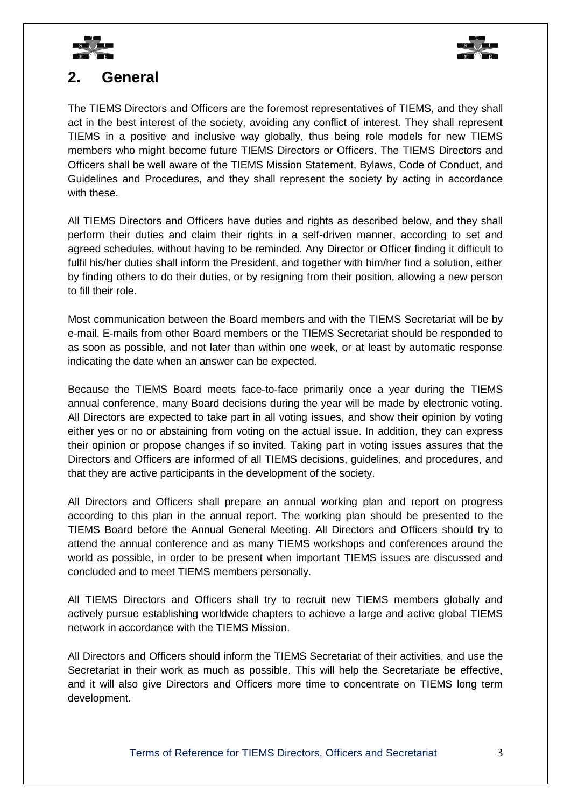



### <span id="page-2-0"></span>**2. General**

The TIEMS Directors and Officers are the foremost representatives of TIEMS, and they shall act in the best interest of the society, avoiding any conflict of interest. They shall represent TIEMS in a positive and inclusive way globally, thus being role models for new TIEMS members who might become future TIEMS Directors or Officers. The TIEMS Directors and Officers shall be well aware of the TIEMS Mission Statement, Bylaws, Code of Conduct, and Guidelines and Procedures, and they shall represent the society by acting in accordance with these.

All TIEMS Directors and Officers have duties and rights as described below, and they shall perform their duties and claim their rights in a self-driven manner, according to set and agreed schedules, without having to be reminded. Any Director or Officer finding it difficult to fulfil his/her duties shall inform the President, and together with him/her find a solution, either by finding others to do their duties, or by resigning from their position, allowing a new person to fill their role.

Most communication between the Board members and with the TIEMS Secretariat will be by e-mail. E-mails from other Board members or the TIEMS Secretariat should be responded to as soon as possible, and not later than within one week, or at least by automatic response indicating the date when an answer can be expected.

Because the TIEMS Board meets face-to-face primarily once a year during the TIEMS annual conference, many Board decisions during the year will be made by electronic voting. All Directors are expected to take part in all voting issues, and show their opinion by voting either yes or no or abstaining from voting on the actual issue. In addition, they can express their opinion or propose changes if so invited. Taking part in voting issues assures that the Directors and Officers are informed of all TIEMS decisions, guidelines, and procedures, and that they are active participants in the development of the society.

All Directors and Officers shall prepare an annual working plan and report on progress according to this plan in the annual report. The working plan should be presented to the TIEMS Board before the Annual General Meeting. All Directors and Officers should try to attend the annual conference and as many TIEMS workshops and conferences around the world as possible, in order to be present when important TIEMS issues are discussed and concluded and to meet TIEMS members personally.

All TIEMS Directors and Officers shall try to recruit new TIEMS members globally and actively pursue establishing worldwide chapters to achieve a large and active global TIEMS network in accordance with the TIEMS Mission.

All Directors and Officers should inform the TIEMS Secretariat of their activities, and use the Secretariat in their work as much as possible. This will help the Secretariate be effective, and it will also give Directors and Officers more time to concentrate on TIEMS long term development.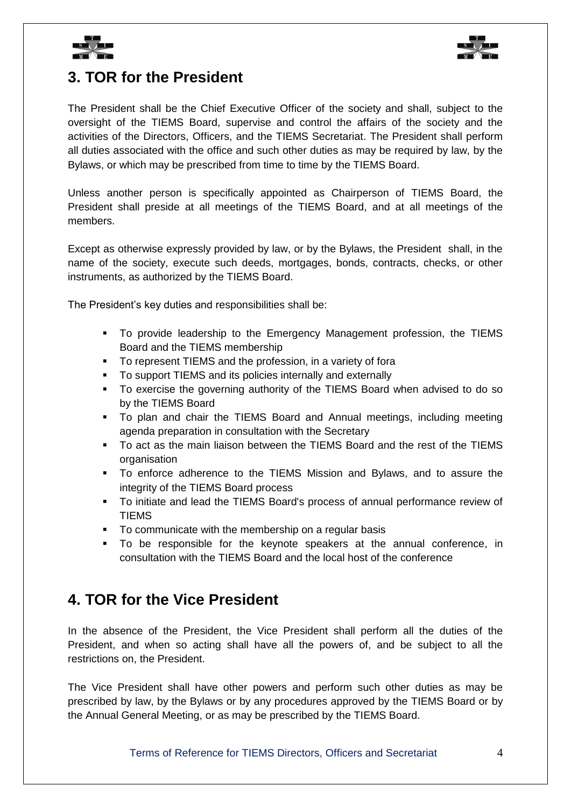



# <span id="page-3-0"></span>**3. TOR for the President**

The President shall be the Chief Executive Officer of the society and shall, subject to the oversight of the TIEMS Board, supervise and control the affairs of the society and the activities of the Directors, Officers, and the TIEMS Secretariat. The President shall perform all duties associated with the office and such other duties as may be required by law, by the Bylaws, or which may be prescribed from time to time by the TIEMS Board.

Unless another person is specifically appointed as Chairperson of TIEMS Board, the President shall preside at all meetings of the TIEMS Board, and at all meetings of the members.

Except as otherwise expressly provided by law, or by the Bylaws, the President shall, in the name of the society, execute such deeds, mortgages, bonds, contracts, checks, or other instruments, as authorized by the TIEMS Board.

The President's key duties and responsibilities shall be:

- To provide leadership to the Emergency Management profession, the TIEMS Board and the TIEMS membership
- To represent TIEMS and the profession, in a variety of fora
- To support TIEMS and its policies internally and externally
- To exercise the governing authority of the TIEMS Board when advised to do so by the TIEMS Board
- To plan and chair the TIEMS Board and Annual meetings, including meeting agenda preparation in consultation with the Secretary
- To act as the main liaison between the TIEMS Board and the rest of the TIEMS organisation
- To enforce adherence to the TIEMS Mission and Bylaws, and to assure the integrity of the TIEMS Board process
- To initiate and lead the TIEMS Board's process of annual performance review of TIEMS
- To communicate with the membership on a regular basis
- To be responsible for the keynote speakers at the annual conference, in consultation with the TIEMS Board and the local host of the conference

### <span id="page-3-1"></span>**4. TOR for the Vice President**

In the absence of the President, the Vice President shall perform all the duties of the President, and when so acting shall have all the powers of, and be subject to all the restrictions on, the President.

The Vice President shall have other powers and perform such other duties as may be prescribed by law, by the Bylaws or by any procedures approved by the TIEMS Board or by the Annual General Meeting, or as may be prescribed by the TIEMS Board.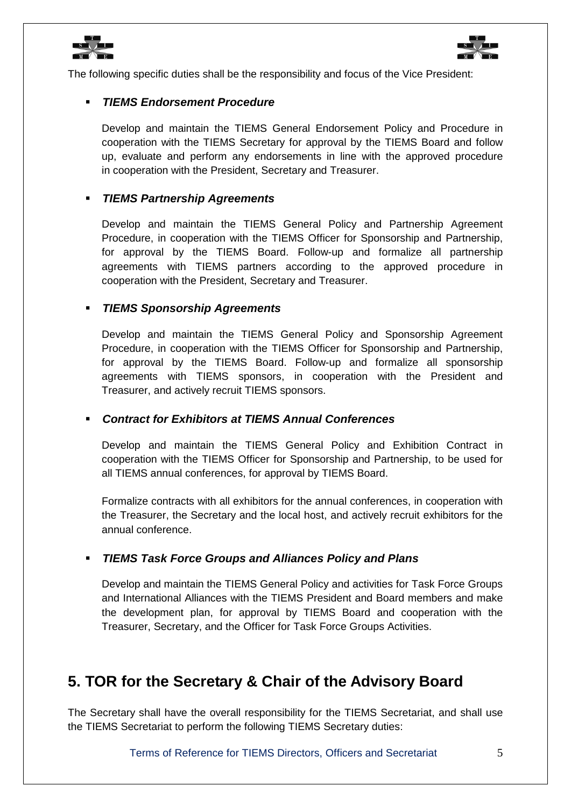



The following specific duties shall be the responsibility and focus of the Vice President:

#### *TIEMS Endorsement Procedure*

Develop and maintain the TIEMS General Endorsement Policy and Procedure in cooperation with the TIEMS Secretary for approval by the TIEMS Board and follow up, evaluate and perform any endorsements in line with the approved procedure in cooperation with the President, Secretary and Treasurer.

#### *TIEMS Partnership Agreements*

Develop and maintain the TIEMS General Policy and Partnership Agreement Procedure, in cooperation with the TIEMS Officer for Sponsorship and Partnership, for approval by the TIEMS Board. Follow-up and formalize all partnership agreements with TIEMS partners according to the approved procedure in cooperation with the President, Secretary and Treasurer.

#### *TIEMS Sponsorship Agreements*

Develop and maintain the TIEMS General Policy and Sponsorship Agreement Procedure, in cooperation with the TIEMS Officer for Sponsorship and Partnership, for approval by the TIEMS Board. Follow-up and formalize all sponsorship agreements with TIEMS sponsors, in cooperation with the President and Treasurer, and actively recruit TIEMS sponsors.

#### *Contract for Exhibitors at TIEMS Annual Conferences*

Develop and maintain the TIEMS General Policy and Exhibition Contract in cooperation with the TIEMS Officer for Sponsorship and Partnership, to be used for all TIEMS annual conferences, for approval by TIEMS Board.

Formalize contracts with all exhibitors for the annual conferences, in cooperation with the Treasurer, the Secretary and the local host, and actively recruit exhibitors for the annual conference.

#### *TIEMS Task Force Groups and Alliances Policy and Plans*

Develop and maintain the TIEMS General Policy and activities for Task Force Groups and International Alliances with the TIEMS President and Board members and make the development plan, for approval by TIEMS Board and cooperation with the Treasurer, Secretary, and the Officer for Task Force Groups Activities.

### <span id="page-4-0"></span>**5. TOR for the Secretary & Chair of the Advisory Board**

The Secretary shall have the overall responsibility for the TIEMS Secretariat, and shall use the TIEMS Secretariat to perform the following TIEMS Secretary duties: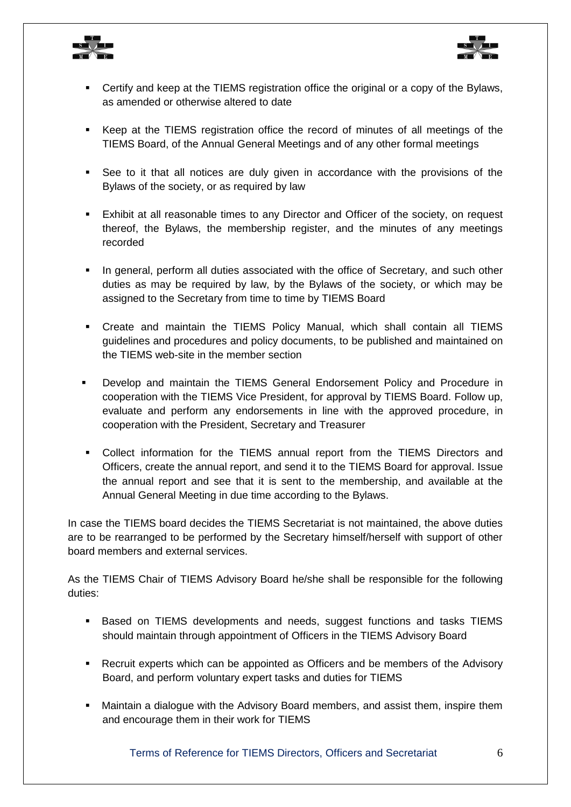



- Certify and keep at the TIEMS registration office the original or a copy of the Bylaws, as amended or otherwise altered to date
- Keep at the TIEMS registration office the record of minutes of all meetings of the TIEMS Board, of the Annual General Meetings and of any other formal meetings
- See to it that all notices are duly given in accordance with the provisions of the Bylaws of the society, or as required by law
- Exhibit at all reasonable times to any Director and Officer of the society, on request thereof, the Bylaws, the membership register, and the minutes of any meetings recorded
- In general, perform all duties associated with the office of Secretary, and such other duties as may be required by law, by the Bylaws of the society, or which may be assigned to the Secretary from time to time by TIEMS Board
- Create and maintain the TIEMS Policy Manual, which shall contain all TIEMS guidelines and procedures and policy documents, to be published and maintained on the TIEMS web-site in the member section
- Develop and maintain the TIEMS General Endorsement Policy and Procedure in cooperation with the TIEMS Vice President, for approval by TIEMS Board. Follow up, evaluate and perform any endorsements in line with the approved procedure, in cooperation with the President, Secretary and Treasurer
- Collect information for the TIEMS annual report from the TIEMS Directors and Officers, create the annual report, and send it to the TIEMS Board for approval. Issue the annual report and see that it is sent to the membership, and available at the Annual General Meeting in due time according to the Bylaws.

In case the TIEMS board decides the TIEMS Secretariat is not maintained, the above duties are to be rearranged to be performed by the Secretary himself/herself with support of other board members and external services.

As the TIEMS Chair of TIEMS Advisory Board he/she shall be responsible for the following duties:

- **Based on TIEMS developments and needs, suggest functions and tasks TIEMS** should maintain through appointment of Officers in the TIEMS Advisory Board
- Recruit experts which can be appointed as Officers and be members of the Advisory Board, and perform voluntary expert tasks and duties for TIEMS
- Maintain a dialogue with the Advisory Board members, and assist them, inspire them and encourage them in their work for TIEMS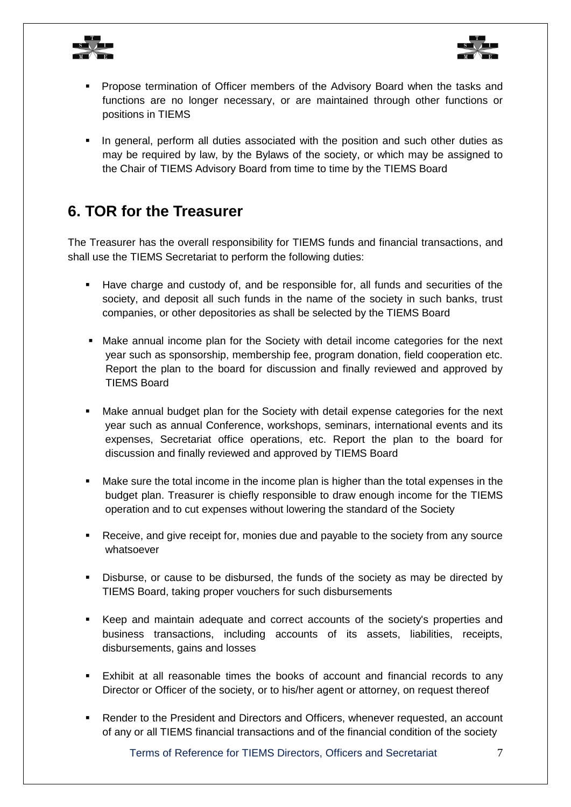



- Propose termination of Officer members of the Advisory Board when the tasks and functions are no longer necessary, or are maintained through other functions or positions in TIEMS
- **IF** In general, perform all duties associated with the position and such other duties as may be required by law, by the Bylaws of the society, or which may be assigned to the Chair of TIEMS Advisory Board from time to time by the TIEMS Board

# <span id="page-6-0"></span>**6. TOR for the Treasurer**

The Treasurer has the overall responsibility for TIEMS funds and financial transactions, and shall use the TIEMS Secretariat to perform the following duties:

- Have charge and custody of, and be responsible for, all funds and securities of the society, and deposit all such funds in the name of the society in such banks, trust companies, or other depositories as shall be selected by the TIEMS Board
- Make annual income plan for the Society with detail income categories for the next year such as sponsorship, membership fee, program donation, field cooperation etc. Report the plan to the board for discussion and finally reviewed and approved by TIEMS Board
- Make annual budget plan for the Society with detail expense categories for the next year such as annual Conference, workshops, seminars, international events and its expenses, Secretariat office operations, etc. Report the plan to the board for discussion and finally reviewed and approved by TIEMS Board
- Make sure the total income in the income plan is higher than the total expenses in the budget plan. Treasurer is chiefly responsible to draw enough income for the TIEMS operation and to cut expenses without lowering the standard of the Society
- Receive, and give receipt for, monies due and payable to the society from any source whatsoever
- Disburse, or cause to be disbursed, the funds of the society as may be directed by TIEMS Board, taking proper vouchers for such disbursements
- Keep and maintain adequate and correct accounts of the society's properties and business transactions, including accounts of its assets, liabilities, receipts, disbursements, gains and losses
- Exhibit at all reasonable times the books of account and financial records to any Director or Officer of the society, or to his/her agent or attorney, on request thereof
- Render to the President and Directors and Officers, whenever requested, an account of any or all TIEMS financial transactions and of the financial condition of the society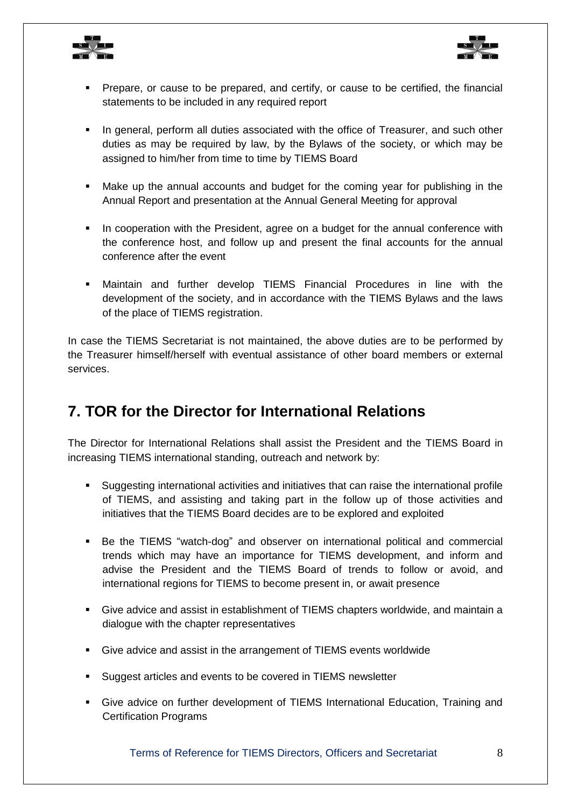



- **Prepare, or cause to be prepared, and certify, or cause to be certified, the financial** statements to be included in any required report
- In general, perform all duties associated with the office of Treasurer, and such other duties as may be required by law, by the Bylaws of the society, or which may be assigned to him/her from time to time by TIEMS Board
- Make up the annual accounts and budget for the coming year for publishing in the Annual Report and presentation at the Annual General Meeting for approval
- In cooperation with the President, agree on a budget for the annual conference with the conference host, and follow up and present the final accounts for the annual conference after the event
- Maintain and further develop TIEMS Financial Procedures in line with the development of the society, and in accordance with the TIEMS Bylaws and the laws of the place of TIEMS registration.

In case the TIEMS Secretariat is not maintained, the above duties are to be performed by the Treasurer himself/herself with eventual assistance of other board members or external services.

# <span id="page-7-0"></span>**7. TOR for the Director for International Relations**

The Director for International Relations shall assist the President and the TIEMS Board in increasing TIEMS international standing, outreach and network by:

- Suggesting international activities and initiatives that can raise the international profile of TIEMS, and assisting and taking part in the follow up of those activities and initiatives that the TIEMS Board decides are to be explored and exploited
- Be the TIEMS "watch-dog" and observer on international political and commercial trends which may have an importance for TIEMS development, and inform and advise the President and the TIEMS Board of trends to follow or avoid, and international regions for TIEMS to become present in, or await presence
- Give advice and assist in establishment of TIEMS chapters worldwide, and maintain a dialogue with the chapter representatives
- Give advice and assist in the arrangement of TIEMS events worldwide
- Suggest articles and events to be covered in TIEMS newsletter
- Give advice on further development of TIEMS International Education, Training and Certification Programs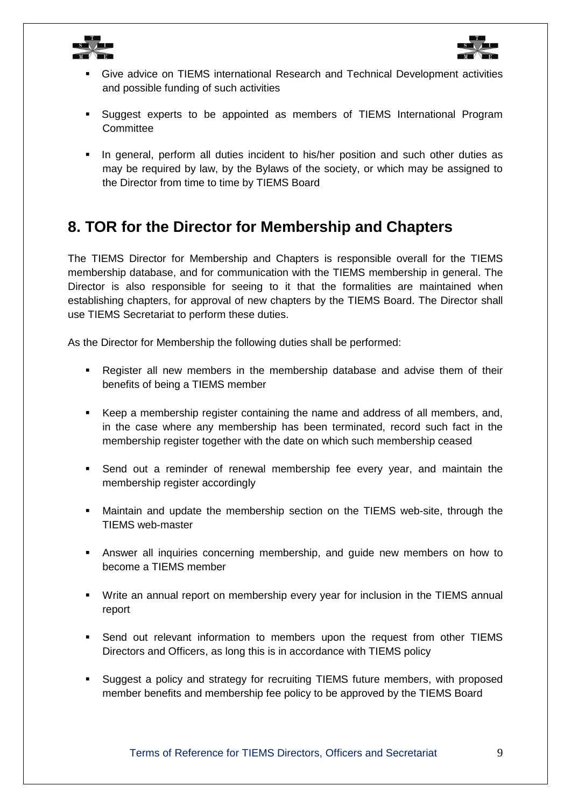



- Give advice on TIEMS international Research and Technical Development activities and possible funding of such activities
- Suggest experts to be appointed as members of TIEMS International Program **Committee**
- In general, perform all duties incident to his/her position and such other duties as may be required by law, by the Bylaws of the society, or which may be assigned to the Director from time to time by TIEMS Board

# <span id="page-8-0"></span>**8. TOR for the Director for Membership and Chapters**

The TIEMS Director for Membership and Chapters is responsible overall for the TIEMS membership database, and for communication with the TIEMS membership in general. The Director is also responsible for seeing to it that the formalities are maintained when establishing chapters, for approval of new chapters by the TIEMS Board. The Director shall use TIEMS Secretariat to perform these duties.

As the Director for Membership the following duties shall be performed:

- Register all new members in the membership database and advise them of their benefits of being a TIEMS member
- Keep a membership register containing the name and address of all members, and, in the case where any membership has been terminated, record such fact in the membership register together with the date on which such membership ceased
- Send out a reminder of renewal membership fee every year, and maintain the membership register accordingly
- Maintain and update the membership section on the TIEMS web-site, through the TIEMS web-master
- Answer all inquiries concerning membership, and guide new members on how to become a TIEMS member
- Write an annual report on membership every year for inclusion in the TIEMS annual report
- Send out relevant information to members upon the request from other TIEMS Directors and Officers, as long this is in accordance with TIEMS policy
- Suggest a policy and strategy for recruiting TIEMS future members, with proposed member benefits and membership fee policy to be approved by the TIEMS Board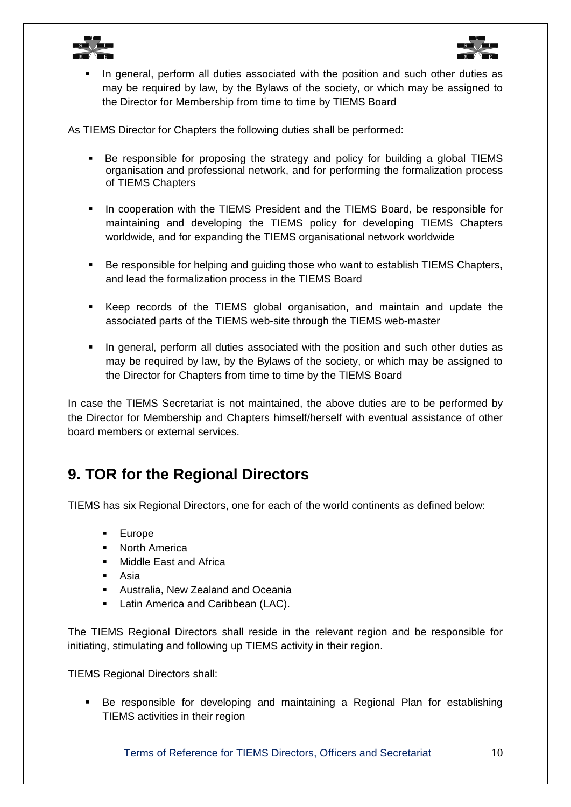



 In general, perform all duties associated with the position and such other duties as may be required by law, by the Bylaws of the society, or which may be assigned to the Director for Membership from time to time by TIEMS Board

As TIEMS Director for Chapters the following duties shall be performed:

- Be responsible for proposing the strategy and policy for building a global TIEMS organisation and professional network, and for performing the formalization process of TIEMS Chapters
- **In cooperation with the TIEMS President and the TIEMS Board, be responsible for** maintaining and developing the TIEMS policy for developing TIEMS Chapters worldwide, and for expanding the TIEMS organisational network worldwide
- Be responsible for helping and guiding those who want to establish TIEMS Chapters, and lead the formalization process in the TIEMS Board
- Keep records of the TIEMS global organisation, and maintain and update the associated parts of the TIEMS web-site through the TIEMS web-master
- In general, perform all duties associated with the position and such other duties as may be required by law, by the Bylaws of the society, or which may be assigned to the Director for Chapters from time to time by the TIEMS Board

In case the TIEMS Secretariat is not maintained, the above duties are to be performed by the Director for Membership and Chapters himself/herself with eventual assistance of other board members or external services.

### <span id="page-9-0"></span>**9. TOR for the Regional Directors**

TIEMS has six Regional Directors, one for each of the world continents as defined below:

- **Europe**
- North America
- **Middle East and Africa**
- Asia
- Australia, New Zealand and Oceania
- **Latin America and Caribbean (LAC).**

The TIEMS Regional Directors shall reside in the relevant region and be responsible for initiating, stimulating and following up TIEMS activity in their region.

TIEMS Regional Directors shall:

 Be responsible for developing and maintaining a Regional Plan for establishing TIEMS activities in their region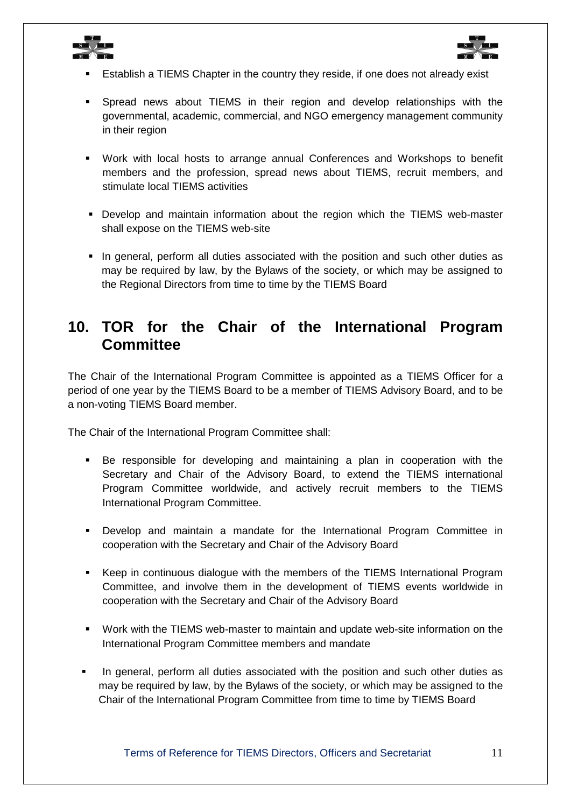



- Establish a TIEMS Chapter in the country they reside, if one does not already exist
- Spread news about TIEMS in their region and develop relationships with the governmental, academic, commercial, and NGO emergency management community in their region
- Work with local hosts to arrange annual Conferences and Workshops to benefit members and the profession, spread news about TIEMS, recruit members, and stimulate local TIEMS activities
- Develop and maintain information about the region which the TIEMS web-master shall expose on the TIEMS web-site
- **IF** In general, perform all duties associated with the position and such other duties as may be required by law, by the Bylaws of the society, or which may be assigned to the Regional Directors from time to time by the TIEMS Board

# <span id="page-10-0"></span>**10. TOR for the Chair of the International Program Committee**

The Chair of the International Program Committee is appointed as a TIEMS Officer for a period of one year by the TIEMS Board to be a member of TIEMS Advisory Board, and to be a non-voting TIEMS Board member.

The Chair of the International Program Committee shall:

- Be responsible for developing and maintaining a plan in cooperation with the Secretary and Chair of the Advisory Board, to extend the TIEMS international Program Committee worldwide, and actively recruit members to the TIEMS International Program Committee.
- Develop and maintain a mandate for the International Program Committee in cooperation with the Secretary and Chair of the Advisory Board
- Keep in continuous dialogue with the members of the TIEMS International Program Committee, and involve them in the development of TIEMS events worldwide in cooperation with the Secretary and Chair of the Advisory Board
- Work with the TIEMS web-master to maintain and update web-site information on the International Program Committee members and mandate
- In general, perform all duties associated with the position and such other duties as may be required by law, by the Bylaws of the society, or which may be assigned to the Chair of the International Program Committee from time to time by TIEMS Board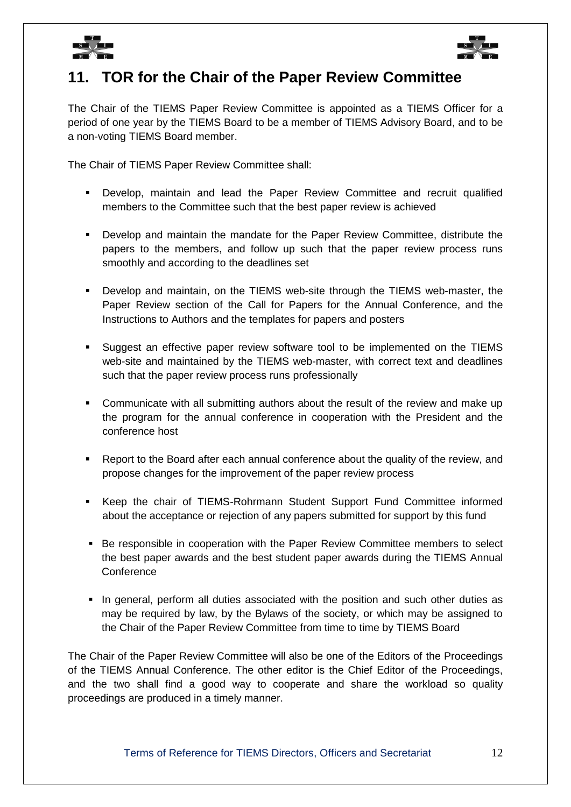



### <span id="page-11-0"></span>**11. TOR for the Chair of the Paper Review Committee**

The Chair of the TIEMS Paper Review Committee is appointed as a TIEMS Officer for a period of one year by the TIEMS Board to be a member of TIEMS Advisory Board, and to be a non-voting TIEMS Board member.

The Chair of TIEMS Paper Review Committee shall:

- Develop, maintain and lead the Paper Review Committee and recruit qualified members to the Committee such that the best paper review is achieved
- Develop and maintain the mandate for the Paper Review Committee, distribute the papers to the members, and follow up such that the paper review process runs smoothly and according to the deadlines set
- Develop and maintain, on the TIEMS web-site through the TIEMS web-master, the Paper Review section of the Call for Papers for the Annual Conference, and the Instructions to Authors and the templates for papers and posters
- Suggest an effective paper review software tool to be implemented on the TIEMS web-site and maintained by the TIEMS web-master, with correct text and deadlines such that the paper review process runs professionally
- **Communicate with all submitting authors about the result of the review and make up** the program for the annual conference in cooperation with the President and the conference host
- Report to the Board after each annual conference about the quality of the review, and propose changes for the improvement of the paper review process
- Keep the chair of TIEMS-Rohrmann Student Support Fund Committee informed about the acceptance or rejection of any papers submitted for support by this fund
- **Be responsible in cooperation with the Paper Review Committee members to select** the best paper awards and the best student paper awards during the TIEMS Annual **Conference**
- **IF In general, perform all duties associated with the position and such other duties as** may be required by law, by the Bylaws of the society, or which may be assigned to the Chair of the Paper Review Committee from time to time by TIEMS Board

The Chair of the Paper Review Committee will also be one of the Editors of the Proceedings of the TIEMS Annual Conference. The other editor is the Chief Editor of the Proceedings, and the two shall find a good way to cooperate and share the workload so quality proceedings are produced in a timely manner.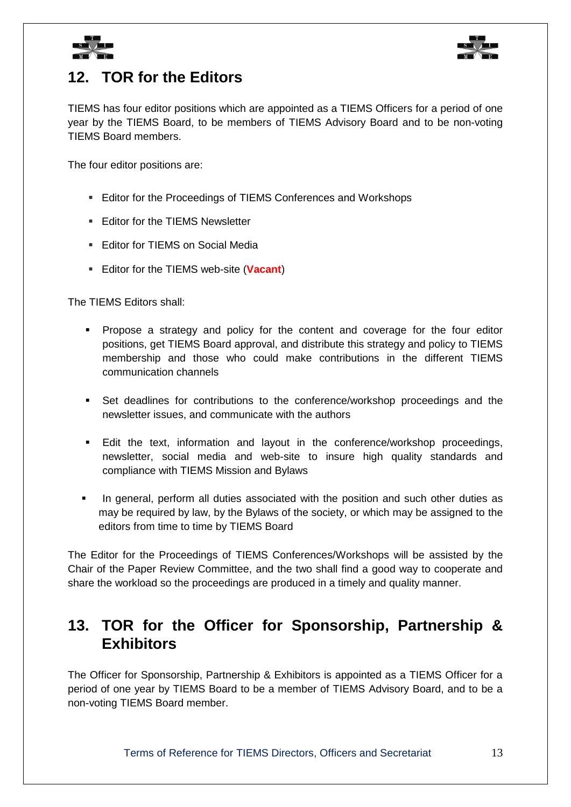



### <span id="page-12-0"></span>**12. TOR for the Editors**

TIEMS has four editor positions which are appointed as a TIEMS Officers for a period of one year by the TIEMS Board, to be members of TIEMS Advisory Board and to be non-voting TIEMS Board members.

The four editor positions are:

- Editor for the Proceedings of TIEMS Conferences and Workshops
- **Editor for the TIEMS Newsletter**
- **Editor for TIEMS on Social Media**
- **Editor for the TIEMS web-site (Vacant)**

The TIEMS Editors shall:

- Propose a strategy and policy for the content and coverage for the four editor positions, get TIEMS Board approval, and distribute this strategy and policy to TIEMS membership and those who could make contributions in the different TIEMS communication channels
- Set deadlines for contributions to the conference/workshop proceedings and the newsletter issues, and communicate with the authors
- Edit the text, information and layout in the conference/workshop proceedings, newsletter, social media and web-site to insure high quality standards and compliance with TIEMS Mission and Bylaws
- In general, perform all duties associated with the position and such other duties as may be required by law, by the Bylaws of the society, or which may be assigned to the editors from time to time by TIEMS Board

The Editor for the Proceedings of TIEMS Conferences/Workshops will be assisted by the Chair of the Paper Review Committee, and the two shall find a good way to cooperate and share the workload so the proceedings are produced in a timely and quality manner.

# <span id="page-12-1"></span>**13. TOR for the Officer for Sponsorship, Partnership & Exhibitors**

The Officer for Sponsorship, Partnership & Exhibitors is appointed as a TIEMS Officer for a period of one year by TIEMS Board to be a member of TIEMS Advisory Board, and to be a non-voting TIEMS Board member.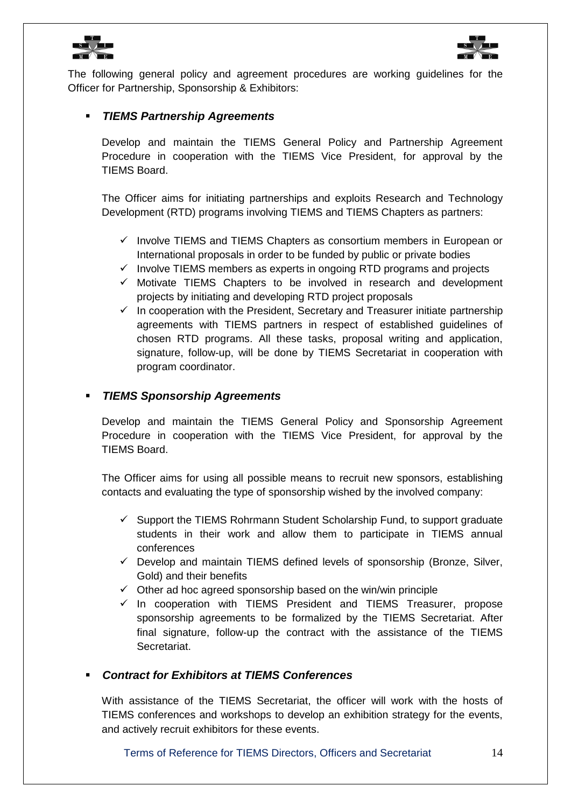



The following general policy and agreement procedures are working guidelines for the Officer for Partnership, Sponsorship & Exhibitors:

#### *TIEMS Partnership Agreements*

Develop and maintain the TIEMS General Policy and Partnership Agreement Procedure in cooperation with the TIEMS Vice President, for approval by the TIEMS Board.

The Officer aims for initiating partnerships and exploits Research and Technology Development (RTD) programs involving TIEMS and TIEMS Chapters as partners:

- $\checkmark$  Involve TIEMS and TIEMS Chapters as consortium members in European or International proposals in order to be funded by public or private bodies
- $\checkmark$  Involve TIEMS members as experts in ongoing RTD programs and projects
- $\checkmark$  Motivate TIEMS Chapters to be involved in research and development projects by initiating and developing RTD project proposals
- $\checkmark$  In cooperation with the President, Secretary and Treasurer initiate partnership agreements with TIEMS partners in respect of established guidelines of chosen RTD programs. All these tasks, proposal writing and application, signature, follow-up, will be done by TIEMS Secretariat in cooperation with program coordinator.

#### *TIEMS Sponsorship Agreements*

Develop and maintain the TIEMS General Policy and Sponsorship Agreement Procedure in cooperation with the TIEMS Vice President, for approval by the TIEMS Board.

The Officer aims for using all possible means to recruit new sponsors, establishing contacts and evaluating the type of sponsorship wished by the involved company:

- $\checkmark$  Support the TIEMS Rohrmann Student Scholarship Fund, to support graduate students in their work and allow them to participate in TIEMS annual conferences
- $\checkmark$  Develop and maintain TIEMS defined levels of sponsorship (Bronze, Silver, Gold) and their benefits
- $\checkmark$  Other ad hoc agreed sponsorship based on the win/win principle
- $\checkmark$  In cooperation with TIEMS President and TIEMS Treasurer, propose sponsorship agreements to be formalized by the TIEMS Secretariat. After final signature, follow-up the contract with the assistance of the TIEMS Secretariat.

#### *Contract for Exhibitors at TIEMS Conferences*

With assistance of the TIEMS Secretariat, the officer will work with the hosts of TIEMS conferences and workshops to develop an exhibition strategy for the events, and actively recruit exhibitors for these events.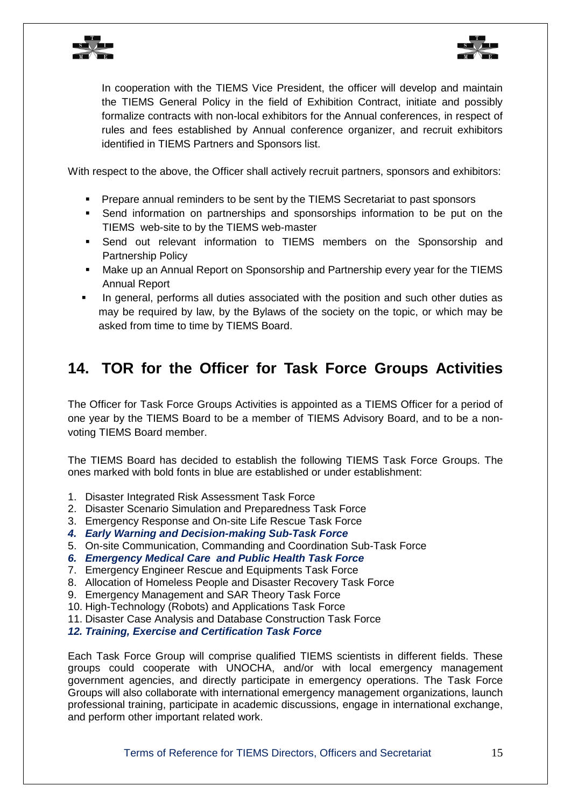



In cooperation with the TIEMS Vice President, the officer will develop and maintain the TIEMS General Policy in the field of Exhibition Contract, initiate and possibly formalize contracts with non-local exhibitors for the Annual conferences, in respect of rules and fees established by Annual conference organizer, and recruit exhibitors identified in TIEMS Partners and Sponsors list.

With respect to the above, the Officer shall actively recruit partners, sponsors and exhibitors:

- **Prepare annual reminders to be sent by the TIEMS Secretariat to past sponsors**
- Send information on partnerships and sponsorships information to be put on the TIEMS web-site to by the TIEMS web-master
- Send out relevant information to TIEMS members on the Sponsorship and Partnership Policy
- Make up an Annual Report on Sponsorship and Partnership every year for the TIEMS Annual Report
- **IF In general, performs all duties associated with the position and such other duties as** may be required by law, by the Bylaws of the society on the topic, or which may be asked from time to time by TIEMS Board.

# <span id="page-14-0"></span>**14. TOR for the Officer for Task Force Groups Activities**

The Officer for Task Force Groups Activities is appointed as a TIEMS Officer for a period of one year by the TIEMS Board to be a member of TIEMS Advisory Board, and to be a nonvoting TIEMS Board member.

The TIEMS Board has decided to establish the following TIEMS Task Force Groups. The ones marked with bold fonts in blue are established or under establishment:

- 1. Disaster Integrated Risk Assessment Task Force
- 2. Disaster Scenario Simulation and Preparedness Task Force
- 3. Emergency Response and On-site Life Rescue Task Force
- *4. Early Warning and Decision-making Sub-Task Force*
- 5. On-site Communication, Commanding and Coordination Sub-Task Force
- *6. Emergency Medical Care and Public Health Task Force*
- 7. Emergency Engineer Rescue and Equipments Task Force
- 8. Allocation of Homeless People and Disaster Recovery Task Force
- 9. Emergency Management and SAR Theory Task Force
- 10. High-Technology (Robots) and Applications Task Force
- 11. Disaster Case Analysis and Database Construction Task Force

*12. Training, Exercise and Certification Task Force*

Each Task Force Group will comprise qualified TIEMS scientists in different fields. These groups could cooperate with UNOCHA, and/or with local emergency management government agencies, and directly participate in emergency operations. The Task Force Groups will also collaborate with international emergency management organizations, launch professional training, participate in academic discussions, engage in international exchange, and perform other important related work.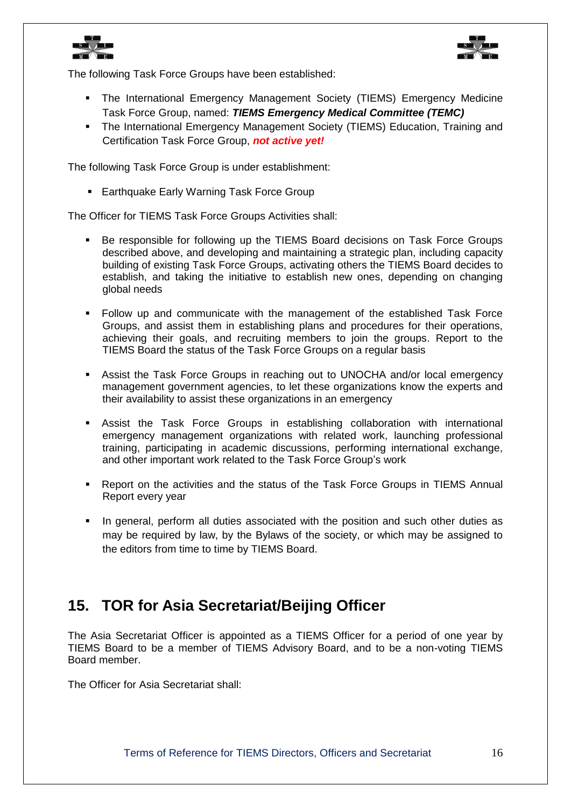



The following Task Force Groups have been established:

- The International Emergency Management Society (TIEMS) Emergency Medicine Task Force Group, named: *TIEMS Emergency Medical Committee (TEMC)*
- The International Emergency Management Society (TIEMS) Education, Training and Certification Task Force Group, *not active yet!*

The following Task Force Group is under establishment:

**Earthquake Early Warning Task Force Group** 

The Officer for TIEMS Task Force Groups Activities shall:

- Be responsible for following up the TIEMS Board decisions on Task Force Groups described above, and developing and maintaining a strategic plan, including capacity building of existing Task Force Groups, activating others the TIEMS Board decides to establish, and taking the initiative to establish new ones, depending on changing global needs
- Follow up and communicate with the management of the established Task Force Groups, and assist them in establishing plans and procedures for their operations, achieving their goals, and recruiting members to join the groups. Report to the TIEMS Board the status of the Task Force Groups on a regular basis
- Assist the Task Force Groups in reaching out to UNOCHA and/or local emergency management government agencies, to let these organizations know the experts and their availability to assist these organizations in an emergency
- Assist the Task Force Groups in establishing collaboration with international emergency management organizations with related work, launching professional training, participating in academic discussions, performing international exchange, and other important work related to the Task Force Group's work
- Report on the activities and the status of the Task Force Groups in TIEMS Annual Report every year
- **IF** In general, perform all duties associated with the position and such other duties as may be required by law, by the Bylaws of the society, or which may be assigned to the editors from time to time by TIEMS Board.

### <span id="page-15-0"></span>**15. TOR for Asia Secretariat/Beijing Officer**

The Asia Secretariat Officer is appointed as a TIEMS Officer for a period of one year by TIEMS Board to be a member of TIEMS Advisory Board, and to be a non-voting TIEMS Board member.

The Officer for Asia Secretariat shall: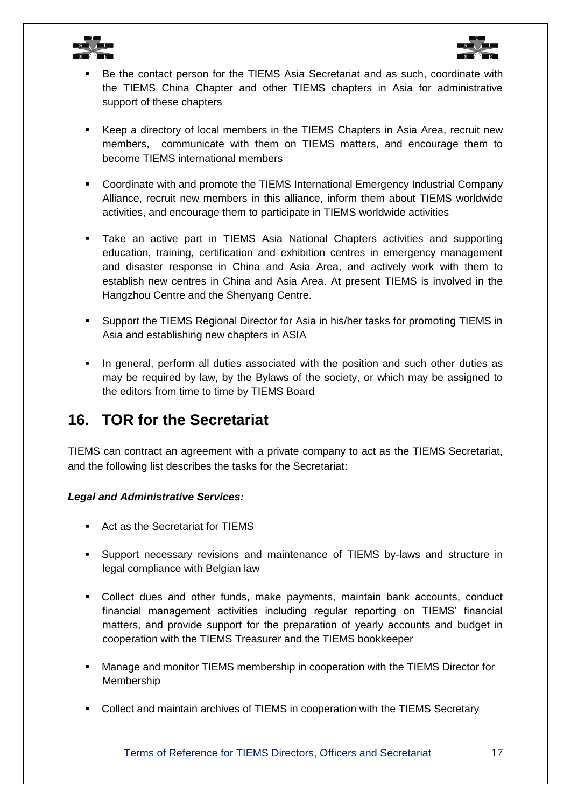



- Be the contact person for the TIEMS Asia Secretariat and as such, coordinate with the TIEMS China Chapter and other TIEMS chapters in Asia for administrative support of these chapters
- Keep a directory of local members in the TIEMS Chapters in Asia Area, recruit new members, communicate with them on TIEMS matters, and encourage them to become TIEMS international members
- Coordinate with and promote the [TIEMS International Emergency Industrial Company](http://tiems.info/images/TIEMS%202014%20Chinese%20Industrial%20Alliance%20Group.pdf)  [Alliance,](http://tiems.info/images/TIEMS%202014%20Chinese%20Industrial%20Alliance%20Group.pdf) recruit new members in this alliance, inform them about TIEMS worldwide activities, and encourage them to participate in TIEMS worldwide activities
- Take an active part in TIEMS Asia National Chapters activities and supporting education, training, certification and exhibition centres in emergency management and disaster response in China and Asia Area, and actively work with them to establish new centres in China and Asia Area. At present TIEMS is involved in the Hangzhou Centre and the Shenyang Centre.
- Support the TIEMS Regional Director for Asia in his/her tasks for promoting TIEMS in Asia and establishing new chapters in ASIA
- **I.** In general, perform all duties associated with the position and such other duties as may be required by law, by the Bylaws of the society, or which may be assigned to the editors from time to time by TIEMS Board

### <span id="page-16-0"></span>**16. TOR for the Secretariat**

TIEMS can contract an agreement with a private company to act as the TIEMS Secretariat, and the following list describes the tasks for the Secretariat:

#### *Legal and Administrative Services:*

- Act as the Secretariat for TIEMS
- Support necessary revisions and maintenance of TIEMS by-laws and structure in legal compliance with Belgian law
- Collect dues and other funds, make payments, maintain bank accounts, conduct financial management activities including regular reporting on TIEMS' financial matters, and provide support for the preparation of yearly accounts and budget in cooperation with the TIEMS Treasurer and the TIEMS bookkeeper
- Manage and monitor TIEMS membership in cooperation with the TIEMS Director for Membership
- Collect and maintain archives of TIEMS in cooperation with the TIEMS Secretary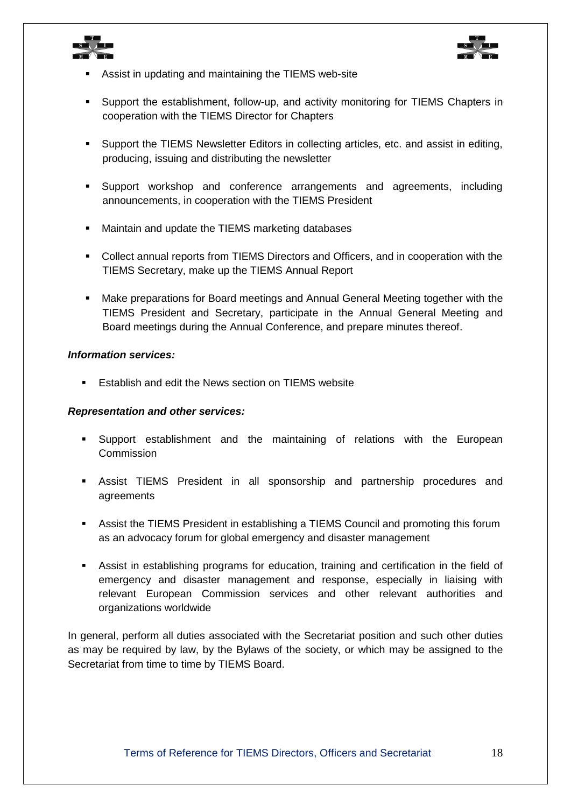



- Assist in updating and maintaining the TIEMS web-site
- Support the establishment, follow-up, and activity monitoring for TIEMS Chapters in cooperation with the TIEMS Director for Chapters
- Support the TIEMS Newsletter Editors in collecting articles, etc. and assist in editing, producing, issuing and distributing the newsletter
- Support workshop and conference arrangements and agreements, including announcements, in cooperation with the TIEMS President
- **Maintain and update the TIEMS marketing databases**
- Collect annual reports from TIEMS Directors and Officers, and in cooperation with the TIEMS Secretary, make up the TIEMS Annual Report
- Make preparations for Board meetings and Annual General Meeting together with the TIEMS President and Secretary, participate in the Annual General Meeting and Board meetings during the Annual Conference, and prepare minutes thereof.

#### *Information services:*

Establish and edit the News section on TIEMS website

#### *Representation and other services:*

- Support establishment and the maintaining of relations with the European **Commission**
- Assist TIEMS President in all sponsorship and partnership procedures and agreements
- Assist the TIEMS President in establishing a TIEMS Council and promoting this forum as an advocacy forum for global emergency and disaster management
- Assist in establishing programs for education, training and certification in the field of emergency and disaster management and response, especially in liaising with relevant European Commission services and other relevant authorities and organizations worldwide

In general, perform all duties associated with the Secretariat position and such other duties as may be required by law, by the Bylaws of the society, or which may be assigned to the Secretariat from time to time by TIEMS Board.